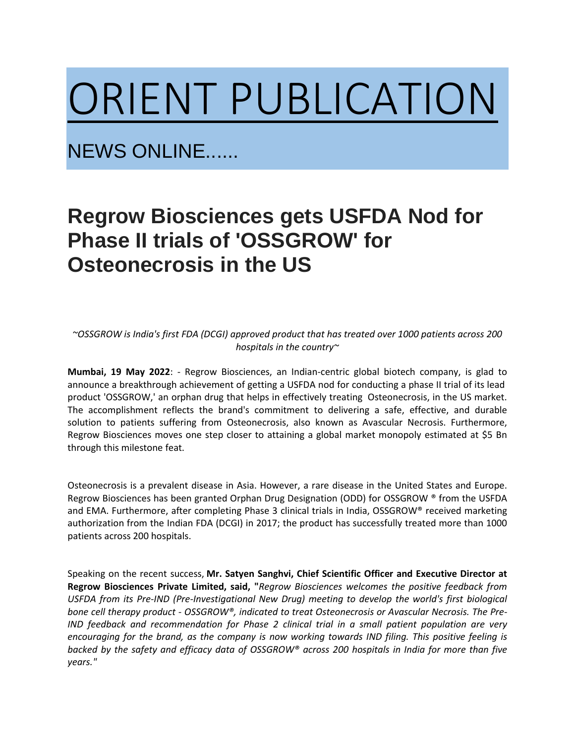## [ORIENT PUBLICATION](https://www.orientpublication.com/)

NEWS ONLINE......

## **Regrow Biosciences gets USFDA Nod for Phase II trials of 'OSSGROW' for Osteonecrosis in the US**

*~OSSGROW is India's first FDA (DCGI) approved product that has treated over 1000 patients across 200 hospitals in the country~*

**Mumbai, 19 May 2022**: - Regrow Biosciences, an Indian-centric global biotech company, is glad to announce a breakthrough achievement of getting a USFDA nod for conducting a phase II trial of its lead product 'OSSGROW,' an orphan drug that helps in effectively treating Osteonecrosis, in the US market. The accomplishment reflects the brand's commitment to delivering a safe, effective, and durable solution to patients suffering from Osteonecrosis, also known as Avascular Necrosis. Furthermore, Regrow Biosciences moves one step closer to attaining a global market monopoly estimated at \$5 Bn through this milestone feat.

Osteonecrosis is a prevalent disease in Asia. However, a rare disease in the United States and Europe. Regrow Biosciences has been granted Orphan Drug Designation (ODD) for OSSGROW ® from the USFDA and EMA. Furthermore, after completing Phase 3 clinical trials in India, OSSGROW® received marketing authorization from the Indian FDA (DCGI) in 2017; the product has successfully treated more than 1000 patients across 200 hospitals.

Speaking on the recent success, **Mr. Satyen Sanghvi, Chief Scientific Officer and Executive Director at Regrow Biosciences Private Limited, said, "***Regrow Biosciences welcomes the positive feedback from USFDA from its Pre-IND (Pre-Investigational New Drug) meeting to develop the world's first biological bone cell therapy product - OSSGROW®, indicated to treat Osteonecrosis or Avascular Necrosis. The Pre-IND feedback and recommendation for Phase 2 clinical trial in a small patient population are very encouraging for the brand, as the company is now working towards IND filing. This positive feeling is* backed by the safety and efficacy data of OSSGROW® across 200 hospitals in India for more than five *years."*